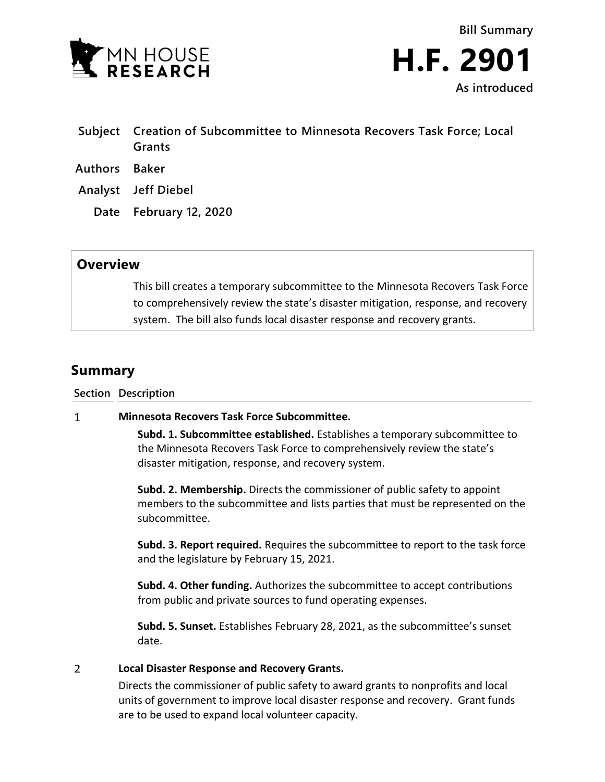



- **Subject Creation of Subcommittee to Minnesota Recovers Task Force; Local Grants Authors Baker**
- 
- **Analyst Jeff Diebel**
	- **Date February 12, 2020**

## **Overview**

This bill creates a temporary subcommittee to the Minnesota Recovers Task Force to comprehensively review the state's disaster mitigation, response, and recovery system. The bill also funds local disaster response and recovery grants.

# **Summary**

**Section Description**

#### $\mathbf{1}$ **Minnesota Recovers Task Force Subcommittee.**

**Subd. 1. Subcommittee established.** Establishes a temporary subcommittee to the Minnesota Recovers Task Force to comprehensively review the state's disaster mitigation, response, and recovery system.

**Subd. 2. Membership.** Directs the commissioner of public safety to appoint members to the subcommittee and lists parties that must be represented on the subcommittee.

**Subd. 3. Report required.** Requires the subcommittee to report to the task force and the legislature by February 15, 2021.

**Subd. 4. Other funding.** Authorizes the subcommittee to accept contributions from public and private sources to fund operating expenses.

**Subd. 5. Sunset.** Establishes February 28, 2021, as the subcommittee's sunset date.

#### $\overline{2}$ **Local Disaster Response and Recovery Grants.**

Directs the commissioner of public safety to award grants to nonprofits and local units of government to improve local disaster response and recovery. Grant funds are to be used to expand local volunteer capacity.